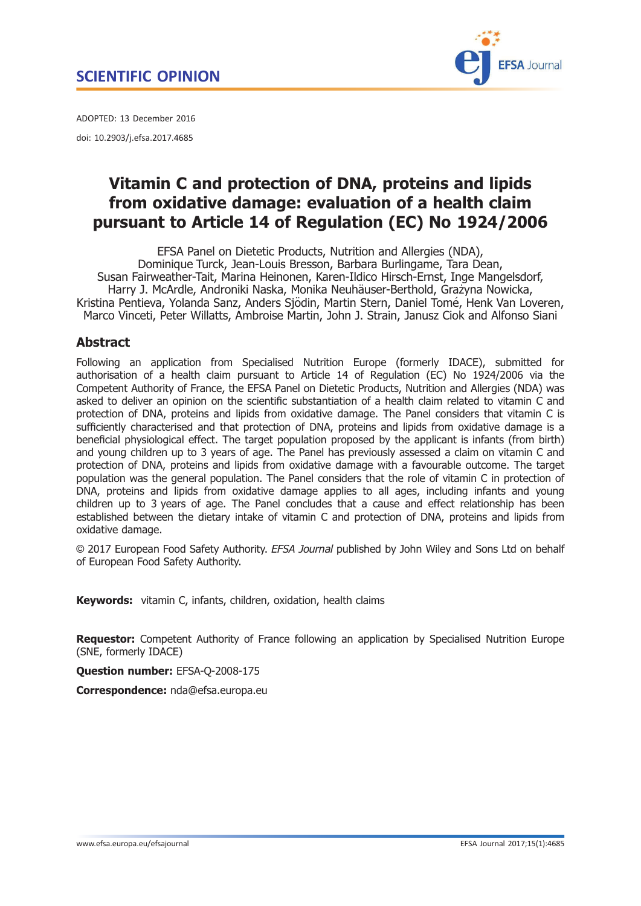

<span id="page-0-0"></span>ADOPTED: 13 December 2016 doi: 10.2903/j.efsa.2017.4685

# Vitamin C and protection of DNA, proteins and lipids from oxidative damage: evaluation of a health claim pursuant to Article 14 of Regulation (EC) No 1924/2006

EFSA Panel on Dietetic Products, Nutrition and Allergies (NDA), Dominique Turck, Jean-Louis Bresson, Barbara Burlingame, Tara Dean, Susan Fairweather-Tait, Marina Heinonen, Karen-Ildico Hirsch-Ernst, Inge Mangelsdorf, Harry J. McArdle, Androniki Naska, Monika Neuhäuser-Berthold, Grażyna Nowicka, Kristina Pentieva, Yolanda Sanz, Anders Sjödin, Martin Stern, Daniel Tomé, Henk Van Loveren, Marco Vinceti, Peter Willatts, Ambroise Martin, John J. Strain, Janusz Ciok and Alfonso Siani

## **Abstract**

Following an application from Specialised Nutrition Europe (formerly IDACE), submitted for authorisation of a health claim pursuant to Article 14 of Regulation (EC) No 1924/2006 via the Competent Authority of France, the EFSA Panel on Dietetic Products, Nutrition and Allergies (NDA) was asked to deliver an opinion on the scientific substantiation of a health claim related to vitamin C and protection of DNA, proteins and lipids from oxidative damage. The Panel considers that vitamin C is sufficiently characterised and that protection of DNA, proteins and lipids from oxidative damage is a beneficial physiological effect. The target population proposed by the applicant is infants (from birth) and young children up to 3 years of age. The Panel has previously assessed a claim on vitamin C and protection of DNA, proteins and lipids from oxidative damage with a favourable outcome. The target population was the general population. The Panel considers that the role of vitamin C in protection of DNA, proteins and lipids from oxidative damage applies to all ages, including infants and young children up to 3 years of age. The Panel concludes that a cause and effect relationship has been established between the dietary intake of vitamin C and protection of DNA, proteins and lipids from oxidative damage.

© 2017 European Food Safety Authority. EFSA Journal published by John Wiley and Sons Ltd on behalf of European Food Safety Authority.

Keywords: vitamin C, infants, children, oxidation, health claims

**Requestor:** Competent Authority of France following an application by Specialised Nutrition Europe (SNE, formerly IDACE)

Question number: EFSA-Q-2008-175

Correspondence: nda@efsa.europa.eu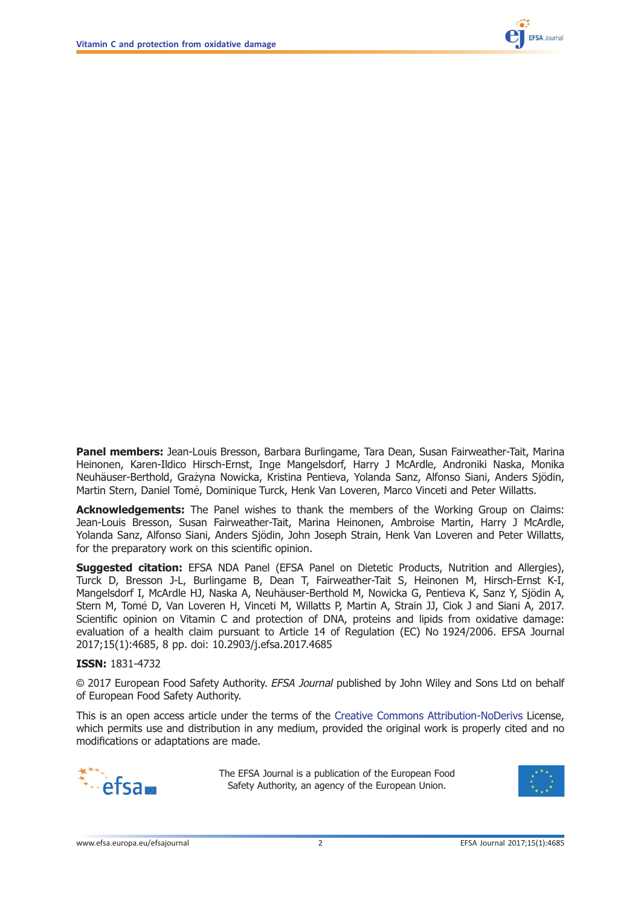

Panel members: Jean-Louis Bresson, Barbara Burlingame, Tara Dean, Susan Fairweather-Tait, Marina Heinonen, Karen-Ildico Hirsch-Ernst, Inge Mangelsdorf, Harry J McArdle, Androniki Naska, Monika Neuhäuser-Berthold, Grażyna Nowicka, Kristina Pentieva, Yolanda Sanz, Alfonso Siani, Anders Sjödin, Martin Stern, Daniel Tomé, Dominique Turck, Henk Van Loveren, Marco Vinceti and Peter Willatts.

Acknowledgements: The Panel wishes to thank the members of the Working Group on Claims: Jean-Louis Bresson, Susan Fairweather-Tait, Marina Heinonen, Ambroise Martin, Harry J McArdle, Yolanda Sanz, Alfonso Siani, Anders Sjödin, John Joseph Strain, Henk Van Loveren and Peter Willatts, for the preparatory work on this scientific opinion.

**Suggested citation:** EFSA NDA Panel (EFSA Panel on Dietetic Products, Nutrition and Allergies), Turck D, Bresson J-L, Burlingame B, Dean T, Fairweather-Tait S, Heinonen M, Hirsch-Ernst K-I, Mangelsdorf I, McArdle HJ, Naska A, Neuhäuser-Berthold M, Nowicka G, Pentieva K, Sanz Y, Sjödin A, Stern M, Tomé D, Van Loveren H, Vinceti M, Willatts P, Martin A, Strain JJ, Ciok J and Siani A, 2017. Scientific opinion on Vitamin C and protection of DNA, proteins and lipids from oxidative damage: evaluation of a health claim pursuant to Article 14 of Regulation (EC) No 1924/2006. EFSA Journal 2017;15(1):4685, 8 pp. doi: [10.2903/j.efsa.2017.4685](https://doi.org/10.2903/j.efsa.2017.4685)

#### ISSN: 1831-4732

© 2017 European Food Safety Authority. EFSA Journal published by John Wiley and Sons Ltd on behalf of European Food Safety Authority.

This is an open access article under the terms of the [Creative Commons Attribution-NoDerivs](http://creativecommons.org/licenses/by-nd/4.0/) License, which permits use and distribution in any medium, provided the original work is properly cited and no modifications or adaptations are made.



The EFSA Journal is a publication of the European Food Safety Authority, an agency of the European Union.

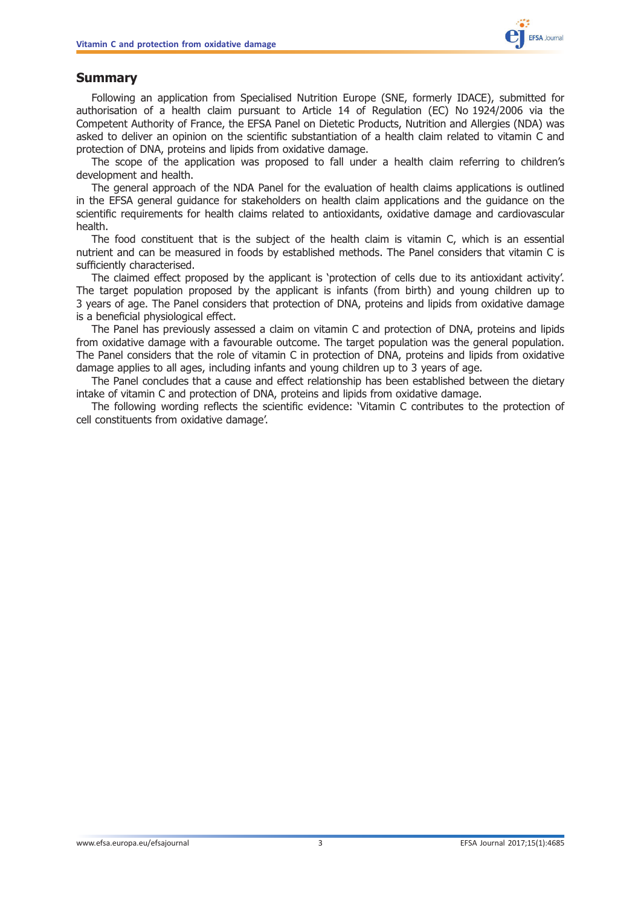

## <span id="page-2-0"></span>Summary

Following an application from Specialised Nutrition Europe (SNE, formerly IDACE), submitted for authorisation of a health claim pursuant to Article 14 of Regulation (EC) No 1924/2006 via the Competent Authority of France, the EFSA Panel on Dietetic Products, Nutrition and Allergies (NDA) was asked to deliver an opinion on the scientific substantiation of a health claim related to vitamin C and protection of DNA, proteins and lipids from oxidative damage.

The scope of the application was proposed to fall under a health claim referring to children's development and health.

The general approach of the NDA Panel for the evaluation of health claims applications is outlined in the EFSA general guidance for stakeholders on health claim applications and the guidance on the scientific requirements for health claims related to antioxidants, oxidative damage and cardiovascular health.

The food constituent that is the subject of the health claim is vitamin C, which is an essential nutrient and can be measured in foods by established methods. The Panel considers that vitamin C is sufficiently characterised.

The claimed effect proposed by the applicant is 'protection of cells due to its antioxidant activity'. The target population proposed by the applicant is infants (from birth) and young children up to 3 years of age. The Panel considers that protection of DNA, proteins and lipids from oxidative damage is a beneficial physiological effect.

The Panel has previously assessed a claim on vitamin C and protection of DNA, proteins and lipids from oxidative damage with a favourable outcome. The target population was the general population. The Panel considers that the role of vitamin C in protection of DNA, proteins and lipids from oxidative damage applies to all ages, including infants and young children up to 3 years of age.

The Panel concludes that a cause and effect relationship has been established between the dietary intake of vitamin C and protection of DNA, proteins and lipids from oxidative damage.

The following wording reflects the scientific evidence: 'Vitamin C contributes to the protection of cell constituents from oxidative damage'.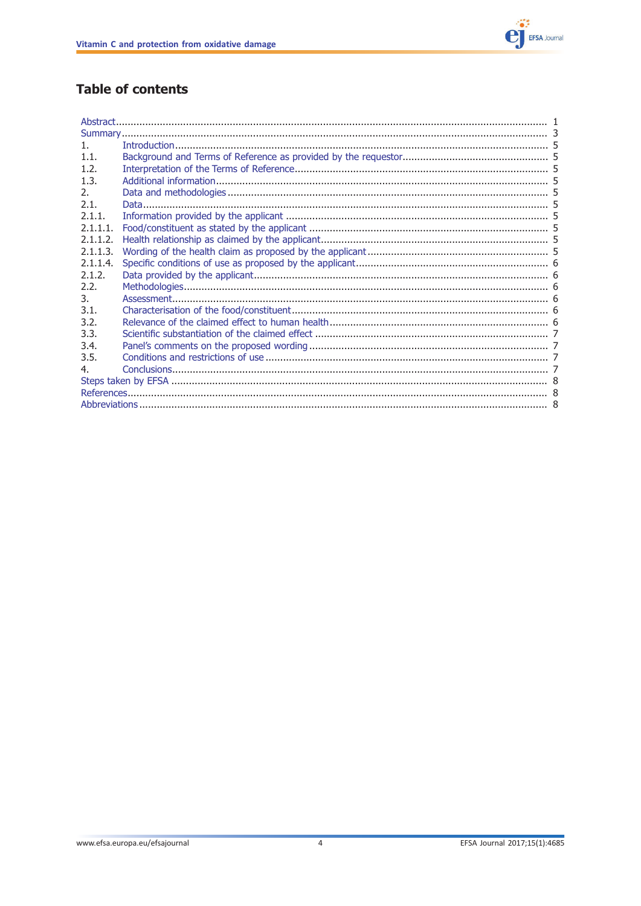

## **Table of contents**

| $\mathbf{1}$ . |  |  |
|----------------|--|--|
| 1.1.           |  |  |
| 1.2.           |  |  |
| 1.3.           |  |  |
| 2.             |  |  |
| 2.1.           |  |  |
| 2.1.1          |  |  |
| 2.1.1.1        |  |  |
| 2.1.1.2.       |  |  |
| 2.1.1.3.       |  |  |
| 2.1.1.4.       |  |  |
| 2.1.2.         |  |  |
| 2.2.           |  |  |
| 3.             |  |  |
| 3.1.           |  |  |
| 3.2.           |  |  |
| 3.3.           |  |  |
| 3.4.           |  |  |
| 3.5.           |  |  |
| 4.             |  |  |
|                |  |  |
|                |  |  |
|                |  |  |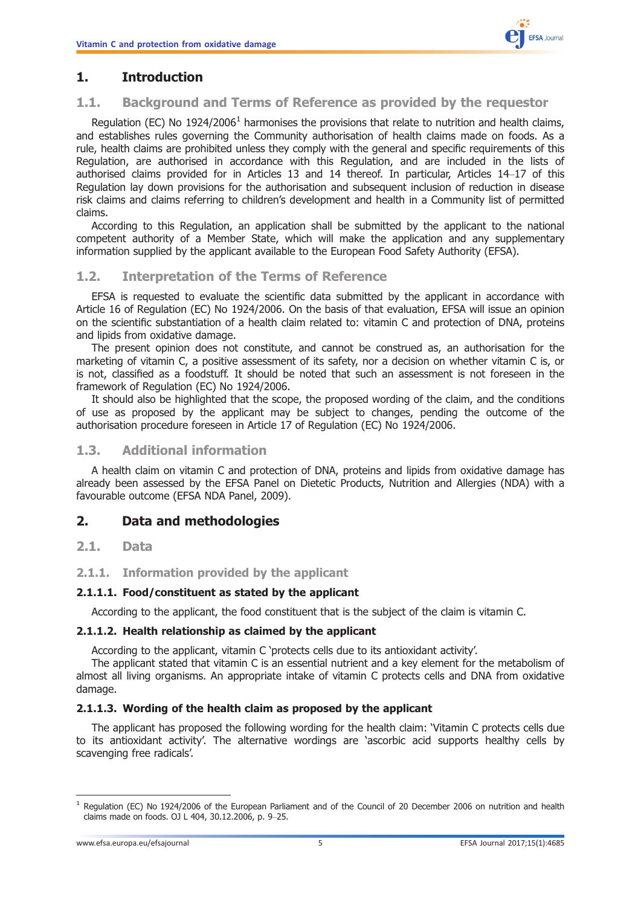## <span id="page-4-0"></span>1. Introduction

#### 1.1. Background and Terms of Reference as provided by the requestor

Requlation (EC) No 1924/2006<sup>1</sup> harmonises the provisions that relate to nutrition and health claims, and establishes rules governing the Community authorisation of health claims made on foods. As a rule, health claims are prohibited unless they comply with the general and specific requirements of this Regulation, are authorised in accordance with this Regulation, and are included in the lists of authorised claims provided for in Articles 13 and 14 thereof. In particular, Articles 14–17 of this Regulation lay down provisions for the authorisation and subsequent inclusion of reduction in disease risk claims and claims referring to children's development and health in a Community list of permitted claims.

According to this Regulation, an application shall be submitted by the applicant to the national competent authority of a Member State, which will make the application and any supplementary information supplied by the applicant available to the European Food Safety Authority (EFSA).

#### 1.2. Interpretation of the Terms of Reference

EFSA is requested to evaluate the scientific data submitted by the applicant in accordance with Article 16 of Regulation (EC) No 1924/2006. On the basis of that evaluation, EFSA will issue an opinion on the scientific substantiation of a health claim related to: vitamin C and protection of DNA, proteins and lipids from oxidative damage.

The present opinion does not constitute, and cannot be construed as, an authorisation for the marketing of vitamin C, a positive assessment of its safety, nor a decision on whether vitamin C is, or is not, classified as a foodstuff. It should be noted that such an assessment is not foreseen in the framework of Regulation (EC) No 1924/2006.

It should also be highlighted that the scope, the proposed wording of the claim, and the conditions of use as proposed by the applicant may be subject to changes, pending the outcome of the authorisation procedure foreseen in Article 17 of Regulation (EC) No 1924/2006.

#### 1.3. Additional information

A health claim on vitamin C and protection of DNA, proteins and lipids from oxidative damage has already been assessed by the EFSA Panel on Dietetic Products, Nutrition and Allergies (NDA) with a favourable outcome (EFSA NDA Panel, 2009).

## 2. Data and methodologies

#### 2.1. Data

#### 2.1.1. Information provided by the applicant

#### 2.1.1.1. Food/constituent as stated by the applicant

According to the applicant, the food constituent that is the subject of the claim is vitamin C.

#### 2.1.1.2. Health relationship as claimed by the applicant

According to the applicant, vitamin C 'protects cells due to its antioxidant activity'.

The applicant stated that vitamin C is an essential nutrient and a key element for the metabolism of almost all living organisms. An appropriate intake of vitamin C protects cells and DNA from oxidative damage.

#### 2.1.1.3. Wording of the health claim as proposed by the applicant

The applicant has proposed the following wording for the health claim: 'Vitamin C protects cells due to its antioxidant activity'. The alternative wordings are 'ascorbic acid supports healthy cells by scavenging free radicals'.

 $1$  Regulation (EC) No 1924/2006 of the European Parliament and of the Council of 20 December 2006 on nutrition and health claims made on foods. OJ L 404, 30.12.2006, p. 9–25.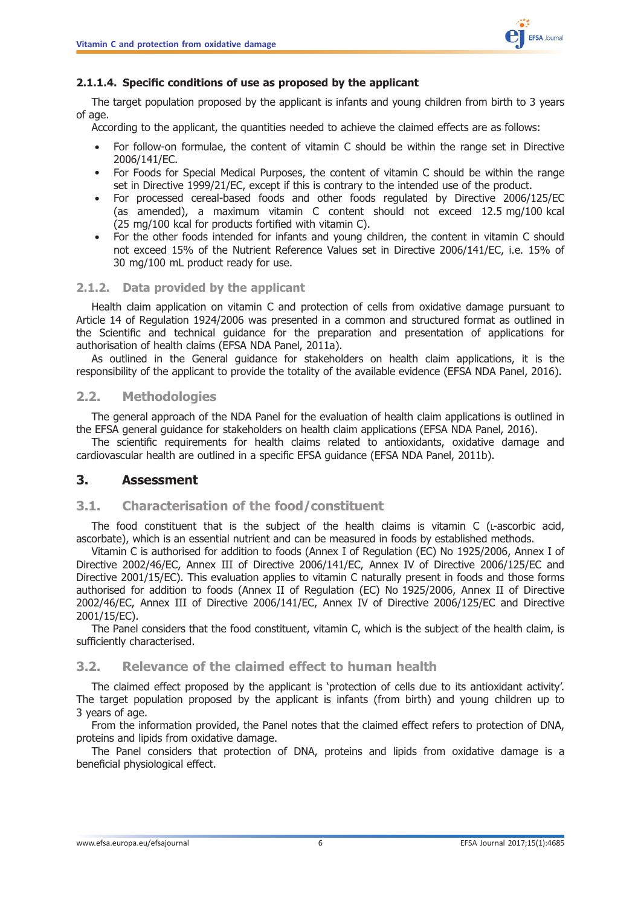

#### <span id="page-5-0"></span>2.1.1.4. Specific conditions of use as proposed by the applicant

The target population proposed by the applicant is infants and young children from birth to 3 years of age.

According to the applicant, the quantities needed to achieve the claimed effects are as follows:

- For follow-on formulae, the content of vitamin C should be within the range set in Directive 2006/141/EC.
- For Foods for Special Medical Purposes, the content of vitamin C should be within the range set in Directive 1999/21/EC, except if this is contrary to the intended use of the product.
- For processed cereal-based foods and other foods regulated by Directive 2006/125/EC (as amended), a maximum vitamin C content should not exceed 12.5 mg/100 kcal (25 mg/100 kcal for products fortified with vitamin C).
- For the other foods intended for infants and young children, the content in vitamin C should not exceed 15% of the Nutrient Reference Values set in Directive 2006/141/EC, i.e. 15% of 30 mg/100 mL product ready for use.

#### 2.1.2. Data provided by the applicant

Health claim application on vitamin C and protection of cells from oxidative damage pursuant to Article 14 of Regulation 1924/2006 was presented in a common and structured format as outlined in the Scientific and technical guidance for the preparation and presentation of applications for authorisation of health claims (EFSA NDA Panel, 2011a).

As outlined in the General guidance for stakeholders on health claim applications, it is the responsibility of the applicant to provide the totality of the available evidence (EFSA NDA Panel, 2016).

#### 2.2. Methodologies

The general approach of the NDA Panel for the evaluation of health claim applications is outlined in the EFSA general guidance for stakeholders on health claim applications (EFSA NDA Panel, 2016).

The scientific requirements for health claims related to antioxidants, oxidative damage and cardiovascular health are outlined in a specific EFSA guidance (EFSA NDA Panel, 2011b).

#### 3. Assessment

#### 3.1. Characterisation of the food/constituent

The food constituent that is the subject of the health claims is vitamin C ( $L$ -ascorbic acid, ascorbate), which is an essential nutrient and can be measured in foods by established methods.

Vitamin C is authorised for addition to foods (Annex I of Regulation (EC) No 1925/2006, Annex I of Directive 2002/46/EC, Annex III of Directive 2006/141/EC, Annex IV of Directive 2006/125/EC and Directive 2001/15/EC). This evaluation applies to vitamin C naturally present in foods and those forms authorised for addition to foods (Annex II of Regulation (EC) No 1925/2006, Annex II of Directive 2002/46/EC, Annex III of Directive 2006/141/EC, Annex IV of Directive 2006/125/EC and Directive 2001/15/EC).

The Panel considers that the food constituent, vitamin C, which is the subject of the health claim, is sufficiently characterised.

#### 3.2. Relevance of the claimed effect to human health

The claimed effect proposed by the applicant is 'protection of cells due to its antioxidant activity'. The target population proposed by the applicant is infants (from birth) and young children up to 3 years of age.

From the information provided, the Panel notes that the claimed effect refers to protection of DNA, proteins and lipids from oxidative damage.

The Panel considers that protection of DNA, proteins and lipids from oxidative damage is a beneficial physiological effect.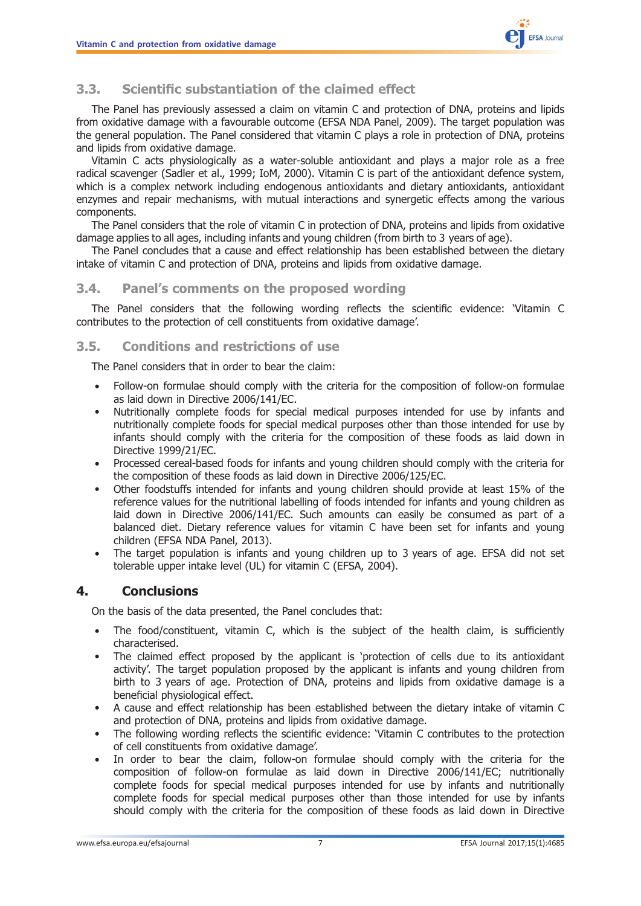

## <span id="page-6-0"></span>3.3. Scientific substantiation of the claimed effect

The Panel has previously assessed a claim on vitamin C and protection of DNA, proteins and lipids from oxidative damage with a favourable outcome (EFSA NDA Panel, 2009). The target population was the general population. The Panel considered that vitamin C plays a role in protection of DNA, proteins and lipids from oxidative damage.

Vitamin C acts physiologically as a water-soluble antioxidant and plays a major role as a free radical scavenger (Sadler et al., 1999; IoM, 2000). Vitamin C is part of the antioxidant defence system, which is a complex network including endogenous antioxidants and dietary antioxidants, antioxidant enzymes and repair mechanisms, with mutual interactions and synergetic effects among the various components.

The Panel considers that the role of vitamin C in protection of DNA, proteins and lipids from oxidative damage applies to all ages, including infants and young children (from birth to 3 years of age).

The Panel concludes that a cause and effect relationship has been established between the dietary intake of vitamin C and protection of DNA, proteins and lipids from oxidative damage.

#### 3.4. Panel's comments on the proposed wording

The Panel considers that the following wording reflects the scientific evidence: 'Vitamin C contributes to the protection of cell constituents from oxidative damage'.

#### 3.5. Conditions and restrictions of use

The Panel considers that in order to bear the claim:

- Follow-on formulae should comply with the criteria for the composition of follow-on formulae as laid down in Directive 2006/141/EC.
- Nutritionally complete foods for special medical purposes intended for use by infants and nutritionally complete foods for special medical purposes other than those intended for use by infants should comply with the criteria for the composition of these foods as laid down in Directive 1999/21/EC.
- Processed cereal-based foods for infants and young children should comply with the criteria for the composition of these foods as laid down in Directive 2006/125/EC.
- Other foodstuffs intended for infants and young children should provide at least 15% of the reference values for the nutritional labelling of foods intended for infants and young children as laid down in Directive 2006/141/EC. Such amounts can easily be consumed as part of a balanced diet. Dietary reference values for vitamin C have been set for infants and young children (EFSA NDA Panel, 2013).
- The target population is infants and young children up to 3 years of age. EFSA did not set tolerable upper intake level (UL) for vitamin C (EFSA, 2004).

#### 4. Conclusions

On the basis of the data presented, the Panel concludes that:

- The food/constituent, vitamin C, which is the subject of the health claim, is sufficiently characterised.
- The claimed effect proposed by the applicant is 'protection of cells due to its antioxidant activity'. The target population proposed by the applicant is infants and young children from birth to 3 years of age. Protection of DNA, proteins and lipids from oxidative damage is a beneficial physiological effect.
- A cause and effect relationship has been established between the dietary intake of vitamin C and protection of DNA, proteins and lipids from oxidative damage.
- The following wording reflects the scientific evidence: 'Vitamin C contributes to the protection of cell constituents from oxidative damage'.
- In order to bear the claim, follow-on formulae should comply with the criteria for the composition of follow-on formulae as laid down in Directive 2006/141/EC; nutritionally complete foods for special medical purposes intended for use by infants and nutritionally complete foods for special medical purposes other than those intended for use by infants should comply with the criteria for the composition of these foods as laid down in Directive